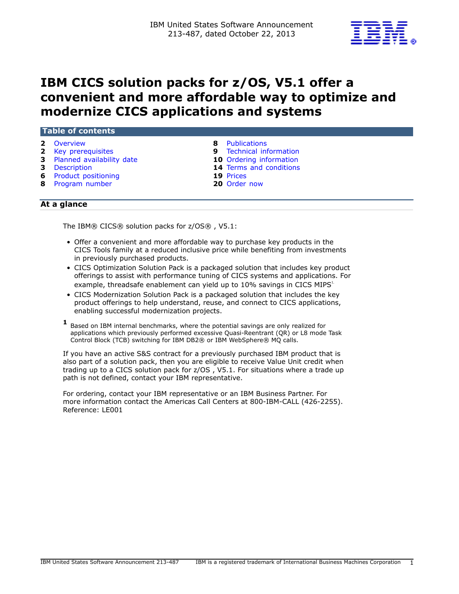

# **IBM CICS solution packs for z/OS, V5.1 offer a convenient and more affordable way to optimize and modernize CICS applications and systems**

| 2 Overview                   | <b>Publications</b><br>8.      |
|------------------------------|--------------------------------|
| 2 Key prerequisites          | <b>9</b> Technical information |
| 3 Planned availability date  | <b>10</b> Ordering information |
| 3 Description                | 14 Terms and conditions        |
| <b>6</b> Product positioning | 19 Prices                      |
| 8 Program number             | 20 Order now                   |

## **At a glance**

The IBM® CICS® solution packs for z/OS® , V5.1:

- Offer a convenient and more affordable way to purchase key products in the CICS Tools family at a reduced inclusive price while benefiting from investments in previously purchased products.
- CICS Optimization Solution Pack is a packaged solution that includes key product offerings to assist with performance tuning of CICS systems and applications. For example, threadsafe enablement can yield up to  $10\%$  savings in CICS MIPS<sup>1.</sup>
- CICS Modernization Solution Pack is a packaged solution that includes the key product offerings to help understand, reuse, and connect to CICS applications, enabling successful modernization projects.
- **1** Based on IBM internal benchmarks, where the potential savings are only realized for applications which previously performed excessive Quasi-Reentrant (QR) or L8 mode Task Control Block (TCB) switching for IBM DB2® or IBM WebSphere® MQ calls.

If you have an active S&S contract for a previously purchased IBM product that is also part of a solution pack, then you are eligible to receive Value Unit credit when trading up to a CICS solution pack for z/OS , V5.1. For situations where a trade up path is not defined, contact your IBM representative.

For ordering, contact your IBM representative or an IBM Business Partner. For more information contact the Americas Call Centers at 800-IBM-CALL (426-2255). Reference: LE001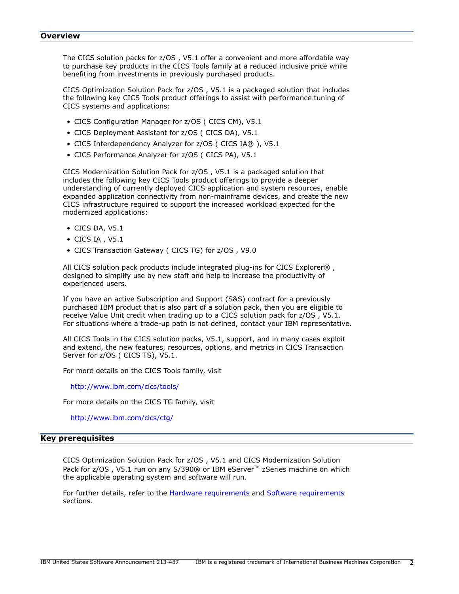#### <span id="page-1-0"></span>**Overview**

The CICS solution packs for z/OS , V5.1 offer a convenient and more affordable way to purchase key products in the CICS Tools family at a reduced inclusive price while benefiting from investments in previously purchased products.

CICS Optimization Solution Pack for z/OS , V5.1 is a packaged solution that includes the following key CICS Tools product offerings to assist with performance tuning of CICS systems and applications:

- CICS Configuration Manager for z/OS ( CICS CM), V5.1
- CICS Deployment Assistant for z/OS ( CICS DA), V5.1
- CICS Interdependency Analyzer for z/OS ( CICS IA® ), V5.1
- CICS Performance Analyzer for z/OS ( CICS PA), V5.1

CICS Modernization Solution Pack for z/OS , V5.1 is a packaged solution that includes the following key CICS Tools product offerings to provide a deeper understanding of currently deployed CICS application and system resources, enable expanded application connectivity from non-mainframe devices, and create the new CICS infrastructure required to support the increased workload expected for the modernized applications:

- CICS DA, V5.1
- CICS IA , V5.1
- CICS Transaction Gateway ( CICS TG) for z/OS , V9.0

All CICS solution pack products include integrated plug-ins for CICS Explorer®, designed to simplify use by new staff and help to increase the productivity of experienced users.

If you have an active Subscription and Support (S&S) contract for a previously purchased IBM product that is also part of a solution pack, then you are eligible to receive Value Unit credit when trading up to a CICS solution pack for z/OS , V5.1. For situations where a trade-up path is not defined, contact your IBM representative.

All CICS Tools in the CICS solution packs, V5.1, support, and in many cases exploit and extend, the new features, resources, options, and metrics in CICS Transaction Server for z/OS (CICS TS), V5.1.

For more details on the CICS Tools family, visit

<http://www.ibm.com/cics/tools/>

For more details on the CICS TG family, visit

<http://www.ibm.com/cics/ctg/>

## <span id="page-1-1"></span>**Key prerequisites**

CICS Optimization Solution Pack for z/OS , V5.1 and CICS Modernization Solution Pack for  $z/OS$ , V5.1 run on any  $S/390$ ® or IBM eServer<sup>TM</sup> zSeries machine on which the applicable operating system and software will run.

For further details, refer to the [Hardware requirements](#page-8-1) and [Software requirements](#page-8-2) sections.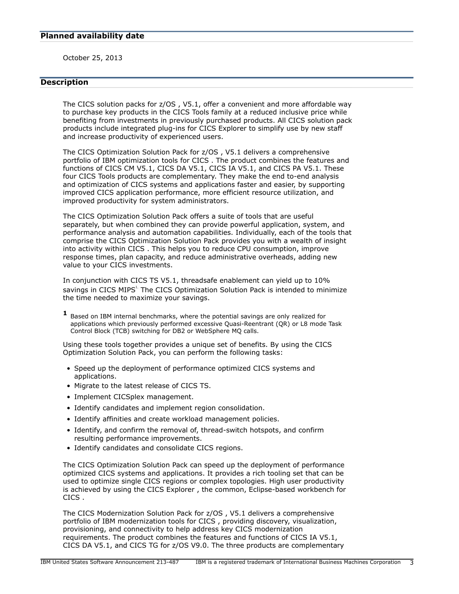<span id="page-2-0"></span>October 25, 2013

# <span id="page-2-1"></span>**Description**

The CICS solution packs for z/OS , V5.1, offer a convenient and more affordable way to purchase key products in the CICS Tools family at a reduced inclusive price while benefiting from investments in previously purchased products. All CICS solution pack products include integrated plug-ins for CICS Explorer to simplify use by new staff and increase productivity of experienced users.

The CICS Optimization Solution Pack for z/OS , V5.1 delivers a comprehensive portfolio of IBM optimization tools for CICS . The product combines the features and functions of CICS CM V5.1, CICS DA V5.1, CICS IA V5.1, and CICS PA V5.1. These four CICS Tools products are complementary. They make the end to-end analysis and optimization of CICS systems and applications faster and easier, by supporting improved CICS application performance, more efficient resource utilization, and improved productivity for system administrators.

The CICS Optimization Solution Pack offers a suite of tools that are useful separately, but when combined they can provide powerful application, system, and performance analysis and automation capabilities. Individually, each of the tools that comprise the CICS Optimization Solution Pack provides you with a wealth of insight into activity within CICS . This helps you to reduce CPU consumption, improve response times, plan capacity, and reduce administrative overheads, adding new value to your CICS investments.

In conjunction with CICS TS V5.1, threadsafe enablement can yield up to 10% savings in CICS MIPS<sup>1</sup>. The CICS Optimization Solution Pack is intended to minimize the time needed to maximize your savings.

**1** Based on IBM internal benchmarks, where the potential savings are only realized for applications which previously performed excessive Quasi-Reentrant (QR) or L8 mode Task Control Block (TCB) switching for DB2 or WebSphere MQ calls.

Using these tools together provides a unique set of benefits. By using the CICS Optimization Solution Pack, you can perform the following tasks:

- Speed up the deployment of performance optimized CICS systems and applications.
- Migrate to the latest release of CICS TS.
- Implement CICSplex management.
- Identify candidates and implement region consolidation.
- Identify affinities and create workload management policies.
- Identify, and confirm the removal of, thread-switch hotspots, and confirm resulting performance improvements.
- Identify candidates and consolidate CICS regions.

The CICS Optimization Solution Pack can speed up the deployment of performance optimized CICS systems and applications. It provides a rich tooling set that can be used to optimize single CICS regions or complex topologies. High user productivity is achieved by using the CICS Explorer , the common, Eclipse-based workbench for CICS .

The CICS Modernization Solution Pack for z/OS , V5.1 delivers a comprehensive portfolio of IBM modernization tools for CICS , providing discovery, visualization, provisioning, and connectivity to help address key CICS modernization requirements. The product combines the features and functions of CICS IA V5.1, CICS DA V5.1, and CICS TG for z/OS V9.0. The three products are complementary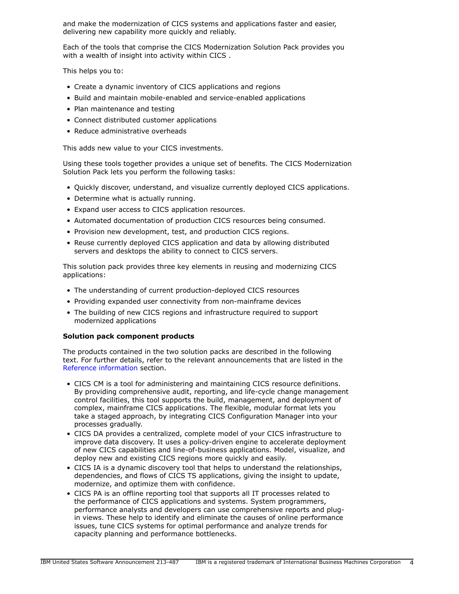and make the modernization of CICS systems and applications faster and easier, delivering new capability more quickly and reliably.

Each of the tools that comprise the CICS Modernization Solution Pack provides you with a wealth of insight into activity within CICS .

This helps you to:

- Create a dynamic inventory of CICS applications and regions
- Build and maintain mobile-enabled and service-enabled applications
- Plan maintenance and testing
- Connect distributed customer applications
- Reduce administrative overheads

This adds new value to your CICS investments.

Using these tools together provides a unique set of benefits. The CICS Modernization Solution Pack lets you perform the following tasks:

- Quickly discover, understand, and visualize currently deployed CICS applications.
- Determine what is actually running.
- Expand user access to CICS application resources.
- Automated documentation of production CICS resources being consumed.
- Provision new development, test, and production CICS regions.
- Reuse currently deployed CICS application and data by allowing distributed servers and desktops the ability to connect to CICS servers.

This solution pack provides three key elements in reusing and modernizing CICS applications:

- The understanding of current production-deployed CICS resources
- Providing expanded user connectivity from non-mainframe devices
- The building of new CICS regions and infrastructure required to support modernized applications

## **Solution pack component products**

The products contained in the two solution packs are described in the following text. For further details, refer to the relevant announcements that are listed in the [Reference information](#page-7-2) section.

- CICS CM is a tool for administering and maintaining CICS resource definitions. By providing comprehensive audit, reporting, and life-cycle change management control facilities, this tool supports the build, management, and deployment of complex, mainframe CICS applications. The flexible, modular format lets you take a staged approach, by integrating CICS Configuration Manager into your processes gradually.
- CICS DA provides a centralized, complete model of your CICS infrastructure to improve data discovery. It uses a policy-driven engine to accelerate deployment of new CICS capabilities and line-of-business applications. Model, visualize, and deploy new and existing CICS regions more quickly and easily.
- CICS IA is a dynamic discovery tool that helps to understand the relationships, dependencies, and flows of CICS TS applications, giving the insight to update, modernize, and optimize them with confidence.
- CICS PA is an offline reporting tool that supports all IT processes related to the performance of CICS applications and systems. System programmers, performance analysts and developers can use comprehensive reports and plugin views. These help to identify and eliminate the causes of online performance issues, tune CICS systems for optimal performance and analyze trends for capacity planning and performance bottlenecks.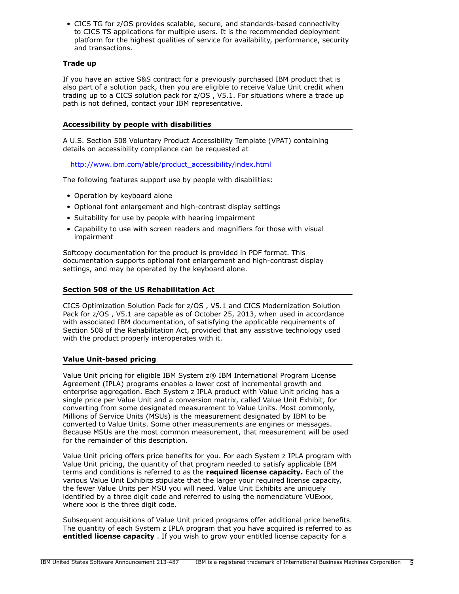• CICS TG for z/OS provides scalable, secure, and standards-based connectivity to CICS TS applications for multiple users. It is the recommended deployment platform for the highest qualities of service for availability, performance, security and transactions.

## **Trade up**

If you have an active S&S contract for a previously purchased IBM product that is also part of a solution pack, then you are eligible to receive Value Unit credit when trading up to a CICS solution pack for z/OS , V5.1. For situations where a trade up path is not defined, contact your IBM representative.

## **Accessibility by people with disabilities**

A U.S. Section 508 Voluntary Product Accessibility Template (VPAT) containing details on accessibility compliance can be requested at

[http://www.ibm.com/able/product\\_accessibility/index.html](http://www.ibm.com/able/product_accessibility/index.html)

The following features support use by people with disabilities:

- Operation by keyboard alone
- Optional font enlargement and high-contrast display settings
- Suitability for use by people with hearing impairment
- Capability to use with screen readers and magnifiers for those with visual impairment

Softcopy documentation for the product is provided in PDF format. This documentation supports optional font enlargement and high-contrast display settings, and may be operated by the keyboard alone.

## **Section 508 of the US Rehabilitation Act**

CICS Optimization Solution Pack for z/OS , V5.1 and CICS Modernization Solution Pack for z/OS , V5.1 are capable as of October 25, 2013, when used in accordance with associated IBM documentation, of satisfying the applicable requirements of Section 508 of the Rehabilitation Act, provided that any assistive technology used with the product properly interoperates with it.

#### **Value Unit-based pricing**

Value Unit pricing for eligible IBM System z® IBM International Program License Agreement (IPLA) programs enables a lower cost of incremental growth and enterprise aggregation. Each System z IPLA product with Value Unit pricing has a single price per Value Unit and a conversion matrix, called Value Unit Exhibit, for converting from some designated measurement to Value Units. Most commonly, Millions of Service Units (MSUs) is the measurement designated by IBM to be converted to Value Units. Some other measurements are engines or messages. Because MSUs are the most common measurement, that measurement will be used for the remainder of this description.

Value Unit pricing offers price benefits for you. For each System z IPLA program with Value Unit pricing, the quantity of that program needed to satisfy applicable IBM terms and conditions is referred to as the **required license capacity.** Each of the various Value Unit Exhibits stipulate that the larger your required license capacity, the fewer Value Units per MSU you will need. Value Unit Exhibits are uniquely identified by a three digit code and referred to using the nomenclature VUExxx, where xxx is the three digit code.

Subsequent acquisitions of Value Unit priced programs offer additional price benefits. The quantity of each System z IPLA program that you have acquired is referred to as **entitled license capacity** . If you wish to grow your entitled license capacity for a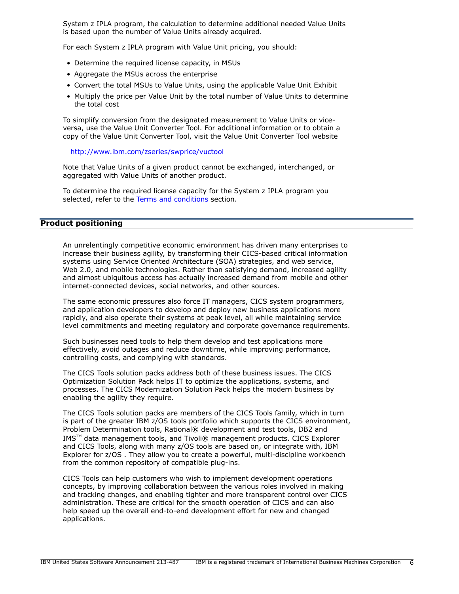System z IPLA program, the calculation to determine additional needed Value Units is based upon the number of Value Units already acquired.

For each System z IPLA program with Value Unit pricing, you should:

- Determine the required license capacity, in MSUs
- Aggregate the MSUs across the enterprise
- Convert the total MSUs to Value Units, using the applicable Value Unit Exhibit
- Multiply the price per Value Unit by the total number of Value Units to determine the total cost

To simplify conversion from the designated measurement to Value Units or viceversa, use the Value Unit Converter Tool. For additional information or to obtain a copy of the Value Unit Converter Tool, visit the Value Unit Converter Tool website

<http://www.ibm.com/zseries/swprice/vuctool>

Note that Value Units of a given product cannot be exchanged, interchanged, or aggregated with Value Units of another product.

To determine the required license capacity for the System z IPLA program you selected, refer to the [Terms and conditions](#page-13-0) section.

## <span id="page-5-0"></span>**Product positioning**

An unrelentingly competitive economic environment has driven many enterprises to increase their business agility, by transforming their CICS-based critical information systems using Service Oriented Architecture (SOA) strategies, and web service, Web 2.0, and mobile technologies. Rather than satisfying demand, increased agility and almost ubiquitous access has actually increased demand from mobile and other internet-connected devices, social networks, and other sources.

The same economic pressures also force IT managers, CICS system programmers, and application developers to develop and deploy new business applications more rapidly, and also operate their systems at peak level, all while maintaining service level commitments and meeting regulatory and corporate governance requirements.

Such businesses need tools to help them develop and test applications more effectively, avoid outages and reduce downtime, while improving performance, controlling costs, and complying with standards.

The CICS Tools solution packs address both of these business issues. The CICS Optimization Solution Pack helps IT to optimize the applications, systems, and processes. The CICS Modernization Solution Pack helps the modern business by enabling the agility they require.

The CICS Tools solution packs are members of the CICS Tools family, which in turn is part of the greater IBM z/OS tools portfolio which supports the CICS environment, Problem Determination tools, Rational® development and test tools, DB2 and IMS™ data management tools, and Tivoli® management products. CICS Explorer and CICS Tools, along with many z/OS tools are based on, or integrate with, IBM Explorer for z/OS . They allow you to create a powerful, multi-discipline workbench from the common repository of compatible plug-ins.

CICS Tools can help customers who wish to implement development operations concepts, by improving collaboration between the various roles involved in making and tracking changes, and enabling tighter and more transparent control over CICS administration. These are critical for the smooth operation of CICS and can also help speed up the overall end-to-end development effort for new and changed applications.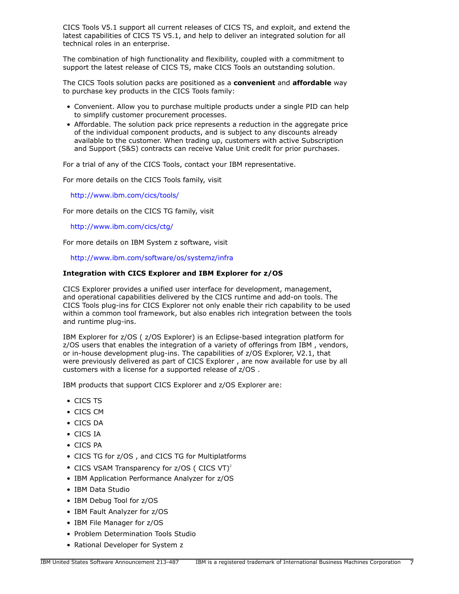CICS Tools V5.1 support all current releases of CICS TS, and exploit, and extend the latest capabilities of CICS TS V5.1, and help to deliver an integrated solution for all technical roles in an enterprise.

The combination of high functionality and flexibility, coupled with a commitment to support the latest release of CICS TS, make CICS Tools an outstanding solution.

The CICS Tools solution packs are positioned as a **convenient** and **affordable** way to purchase key products in the CICS Tools family:

- Convenient. Allow you to purchase multiple products under a single PID can help to simplify customer procurement processes.
- Affordable. The solution pack price represents a reduction in the aggregate price of the individual component products, and is subject to any discounts already available to the customer. When trading up, customers with active Subscription and Support (S&S) contracts can receive Value Unit credit for prior purchases.

For a trial of any of the CICS Tools, contact your IBM representative.

For more details on the CICS Tools family, visit

<http://www.ibm.com/cics/tools/>

For more details on the CICS TG family, visit

<http://www.ibm.com/cics/ctg/>

For more details on IBM System z software, visit

<http://www.ibm.com/software/os/systemz/infra>

#### **Integration with CICS Explorer and IBM Explorer for z/OS**

CICS Explorer provides a unified user interface for development, management, and operational capabilities delivered by the CICS runtime and add-on tools. The CICS Tools plug-ins for CICS Explorer not only enable their rich capability to be used within a common tool framework, but also enables rich integration between the tools and runtime plug-ins.

IBM Explorer for z/OS ( z/OS Explorer) is an Eclipse-based integration platform for z/OS users that enables the integration of a variety of offerings from IBM , vendors, or in-house development plug-ins. The capabilities of z/OS Explorer, V2.1, that were previously delivered as part of CICS Explorer , are now available for use by all customers with a license for a supported release of z/OS .

IBM products that support CICS Explorer and z/OS Explorer are:

- CICS TS
- CICS CM
- CICS DA
- CICS IA
- CICS PA
- CICS TG for z/OS , and CICS TG for Multiplatforms
- CICS VSAM Transparency for  $z/OS$  (CICS VT)<sup>2</sup>
- IBM Application Performance Analyzer for z/OS
- IBM Data Studio
- IBM Debug Tool for z/OS
- IBM Fault Analyzer for z/OS
- IBM File Manager for z/OS
- Problem Determination Tools Studio
- Rational Developer for System z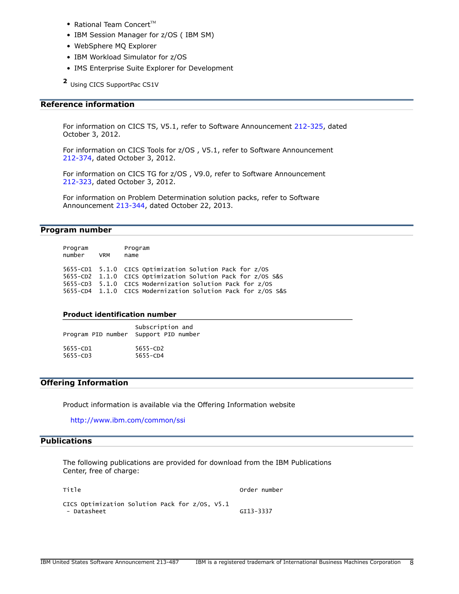- Rational Team Concert $TM$
- IBM Session Manager for z/OS ( IBM SM)
- WebSphere MQ Explorer
- IBM Workload Simulator for z/OS
- IMS Enterprise Suite Explorer for Development

**2** Using CICS SupportPac CS1V

## <span id="page-7-2"></span>**Reference information**

For information on CICS TS, V5.1, refer to Software Announcement [212-325](http://www.ibm.com/common/ssi/cgi-bin/ssialias?infotype=an&subtype=ca&appname=gpateam&supplier=897&letternum=ENUS212-325), dated October 3, 2012.

For information on CICS Tools for z/OS , V5.1, refer to Software Announcement [212-374](http://www.ibm.com/common/ssi/cgi-bin/ssialias?infotype=an&subtype=ca&appname=gpateam&supplier=897&letternum=ENUS212-374), dated October 3, 2012.

For information on CICS TG for z/OS , V9.0, refer to Software Announcement [212-323](http://www.ibm.com/common/ssi/cgi-bin/ssialias?infotype=an&subtype=ca&appname=gpateam&supplier=897&letternum=ENUS212-323), dated October 3, 2012.

For information on Problem Determination solution packs, refer to Software Announcement [213-344](http://www.ibm.com/common/ssi/cgi-bin/ssialias?infotype=an&subtype=ca&appname=gpateam&supplier=897&letternum=ENUS213-344), dated October 22, 2013.

## <span id="page-7-1"></span>**Program number**

| Program<br>number VRM | Program<br>name                                              |
|-----------------------|--------------------------------------------------------------|
|                       | 5655-CD1 5.1.0 CICS Optimization Solution Pack for z/OS      |
|                       | 5655-CD2 1.1.0 CICS Optimization Solution Pack for z/OS S&S  |
|                       | 5655-CD3 5.1.0 CICS Modernization Solution Pack for z/OS     |
|                       | 5655-CD4 1.1.0 CICS Modernization Solution Pack for z/OS S&S |

#### **Product identification number**

| Program PID number Support PID number | Subscription and |
|---------------------------------------|------------------|
| 5655-CD1                              | $5655 - CD2$     |
| $5655 - CD3$                          | 5655-CD4         |

# **Offering Information**

Product information is available via the Offering Information website

<http://www.ibm.com/common/ssi>

# <span id="page-7-0"></span>**Publications**

The following publications are provided for download from the IBM Publications Center, free of charge:

| Title                                          | Order number |
|------------------------------------------------|--------------|
| CICS Optimization Solution Pack for z/OS, V5.1 |              |
| - Datasheet                                    | GI13-3337    |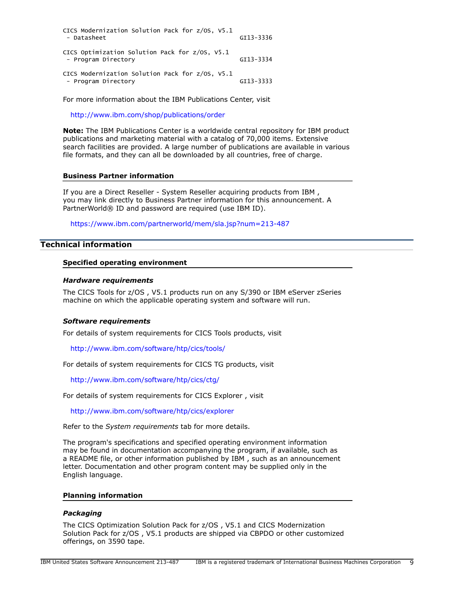| CICS Modernization Solution Pack for z/0S, V5.1<br>- Datasheet         | GI13-3336 |
|------------------------------------------------------------------------|-----------|
| CICS Optimization Solution Pack for z/OS, V5.1<br>- Program Directory  | GI13-3334 |
| CICS Modernization Solution Pack for z/0S, V5.1<br>- Program Directory | GI13-3333 |

For more information about the IBM Publications Center, visit

<http://www.ibm.com/shop/publications/order>

**Note:** The IBM Publications Center is a worldwide central repository for IBM product publications and marketing material with a catalog of 70,000 items. Extensive search facilities are provided. A large number of publications are available in various file formats, and they can all be downloaded by all countries, free of charge.

#### **Business Partner information**

If you are a Direct Reseller - System Reseller acquiring products from IBM , you may link directly to Business Partner information for this announcement. A PartnerWorld® ID and password are required (use IBM ID).

<https://www.ibm.com/partnerworld/mem/sla.jsp?num=213-487>

# <span id="page-8-0"></span>**Technical information**

#### **Specified operating environment**

#### <span id="page-8-1"></span>*Hardware requirements*

The CICS Tools for z/OS , V5.1 products run on any S/390 or IBM eServer zSeries machine on which the applicable operating system and software will run.

#### <span id="page-8-2"></span>*Software requirements*

For details of system requirements for CICS Tools products, visit

<http://www.ibm.com/software/htp/cics/tools/>

For details of system requirements for CICS TG products, visit

<http://www.ibm.com/software/htp/cics/ctg/>

For details of system requirements for CICS Explorer , visit

<http://www.ibm.com/software/htp/cics/explorer>

Refer to the *System requirements* tab for more details.

The program's specifications and specified operating environment information may be found in documentation accompanying the program, if available, such as a README file, or other information published by IBM , such as an announcement letter. Documentation and other program content may be supplied only in the English language.

## **Planning information**

#### *Packaging*

The CICS Optimization Solution Pack for z/OS , V5.1 and CICS Modernization Solution Pack for z/OS , V5.1 products are shipped via CBPDO or other customized offerings, on 3590 tape.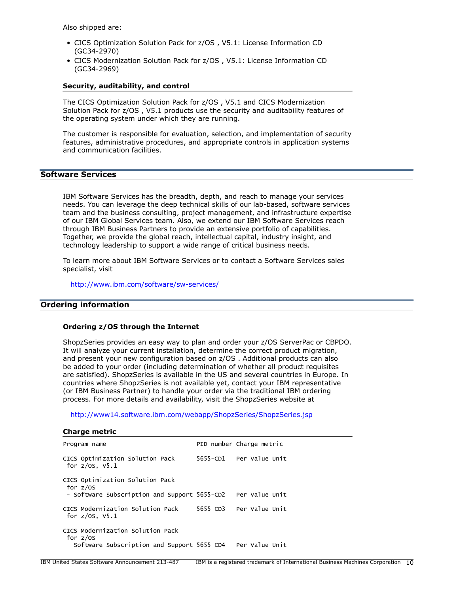Also shipped are:

- CICS Optimization Solution Pack for z/OS , V5.1: License Information CD (GC34-2970)
- CICS Modernization Solution Pack for z/OS , V5.1: License Information CD (GC34-2969)

#### **Security, auditability, and control**

The CICS Optimization Solution Pack for z/OS , V5.1 and CICS Modernization Solution Pack for z/OS , V5.1 products use the security and auditability features of the operating system under which they are running.

The customer is responsible for evaluation, selection, and implementation of security features, administrative procedures, and appropriate controls in application systems and communication facilities.

# **Software Services**

IBM Software Services has the breadth, depth, and reach to manage your services needs. You can leverage the deep technical skills of our lab-based, software services team and the business consulting, project management, and infrastructure expertise of our IBM Global Services team. Also, we extend our IBM Software Services reach through IBM Business Partners to provide an extensive portfolio of capabilities. Together, we provide the global reach, intellectual capital, industry insight, and technology leadership to support a wide range of critical business needs.

To learn more about IBM Software Services or to contact a Software Services sales specialist, visit

<http://www.ibm.com/software/sw-services/>

# <span id="page-9-0"></span>**Ordering information**

## **Ordering z/OS through the Internet**

ShopzSeries provides an easy way to plan and order your z/OS ServerPac or CBPDO. It will analyze your current installation, determine the correct product migration, and present your new configuration based on z/OS . Additional products can also be added to your order (including determination of whether all product requisites are satisfied). ShopzSeries is available in the US and several countries in Europe. In countries where ShopzSeries is not available yet, contact your IBM representative (or IBM Business Partner) to handle your order via the traditional IBM ordering process. For more details and availability, visit the ShopzSeries website at

<http://www14.software.ibm.com/webapp/ShopzSeries/ShopzSeries.jsp>

| <b>Charge metric</b>                                                                                         |                          |
|--------------------------------------------------------------------------------------------------------------|--------------------------|
| Program name                                                                                                 | PID number Charge metric |
| CICS Optimization Solution Pack<br>for $z/0s$ , $v5.1$                                                       | 5655-CD1 Per Value Unit  |
| CICS Optimization Solution Pack<br>for $z/0S$<br>- Software Subscription and Support 5655-CD2 Per Value Unit |                          |
| CICS Modernization Solution Pack<br>for $z/0s$ , $v5.1$                                                      | 5655-CD3 Per Value Unit  |
| CICS Modernization Solution Pack<br>for $z/0S$<br>- Software Subscription and Support 5655-CD4               | Per Value Unit           |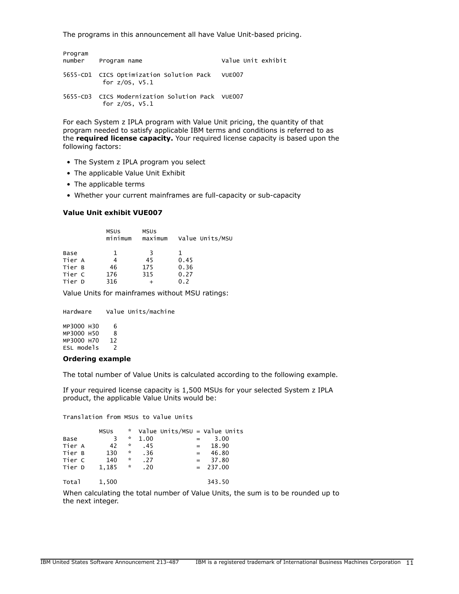The programs in this announcement all have Value Unit-based pricing.

| Program | number Program name                                                     | Value Unit exhibit |
|---------|-------------------------------------------------------------------------|--------------------|
|         | 5655-CD1 CICS Optimization Solution Pack VUE007<br>for $z/OS$ , $V5.1$  |                    |
|         | 5655-CD3 CICS Modernization Solution Pack VUE007<br>for $z/0s$ , $V5.1$ |                    |

For each System z IPLA program with Value Unit pricing, the quantity of that program needed to satisfy applicable IBM terms and conditions is referred to as the **required license capacity.** Your required license capacity is based upon the following factors:

- The System z IPLA program you select
- The applicable Value Unit Exhibit
- The applicable terms
- Whether your current mainframes are full-capacity or sub-capacity

#### **Value Unit exhibit VUE007**

|        | <b>MSUS</b><br>minimum | <b>MSUS</b><br>maximum | Value Units/MSU |
|--------|------------------------|------------------------|-----------------|
| Base   | 1                      | 3                      | ı               |
| Tier A |                        | 45                     | 0.45            |
| Tier B | 46                     | 175                    | 0.36            |
| Tier C | 176                    | 315                    | 0.27            |
| Tier D | 316                    |                        | 0.2             |

Value Units for mainframes without MSU ratings:

Hardware Value Units/machine MP3000 H30 6<br>MP3000 H50 8 MP3000 H50 8 MP3000 H70 12 ESL models 2

#### **Ordering example**

The total number of Value Units is calculated according to the following example.

If your required license capacity is 1,500 MSUs for your selected System z IPLA product, the applicable Value Units would be:

Translation from MSUs to Value Units

|        | <b>MSUS</b> | A.                 |      |              | Value Units/MSU = Value Units |
|--------|-------------|--------------------|------|--------------|-------------------------------|
| Base   | 3           | $\mathcal{R}$      | 1.00 |              | 3.00                          |
| Tier A | 42          | *                  | .45  | $=$          | 18.90                         |
| Tier B | 130         | *                  | .36  | $\alpha = 1$ | 46.80                         |
| Tier C | 140         | $\boldsymbol{\pi}$ | .27  | $=$          | 37.80                         |
| Tier D | 1,185       | $\mathcal{R}$      | .20  |              | $= 237.00$                    |
| Total  | 1,500       |                    |      |              | 343.50                        |

When calculating the total number of Value Units, the sum is to be rounded up to the next integer.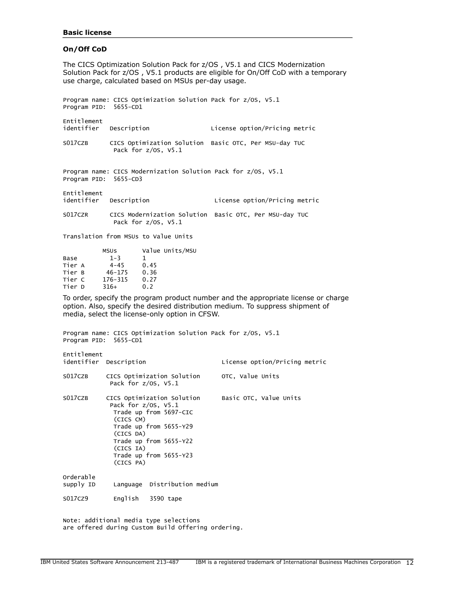#### **Basic license**

#### **On/Off CoD**

The CICS Optimization Solution Pack for z/OS , V5.1 and CICS Modernization Solution Pack for z/OS , V5.1 products are eligible for On/Off CoD with a temporary use charge, calculated based on MSUs per-day usage.

Program name: CICS Optimization Solution Pack for z/OS, V5.1 Program PID: 5655-CD1

| Entitlement<br>identifier | Description                                                                       | License option/Pricing metric                          |
|---------------------------|-----------------------------------------------------------------------------------|--------------------------------------------------------|
| S017CZB                   | CICS Optimization Solution Basic OTC, Per MSU-day TUC<br>Pack for $z/OS$ , $V5.1$ |                                                        |
| Program PID: 5655-CD3     | Program name: CICS Modernization Solution Pack for z/OS, V5.1                     |                                                        |
| Entitlement               | identifier Description                                                            | License option/Pricing metric                          |
| S017CZR                   | Pack for $z/OS$ , $V5.1$                                                          | CICS Modernization Solution Basic OTC, Per MSU-day TUC |

Translation from MSUs to Value Units

|        | <b>MSUS</b> | Value Units/MSU |
|--------|-------------|-----------------|
| Base   | $1 - 3$     | 1               |
| Tier A | $4 - 45$    | 0.45            |
| Tier B | $46 - 175$  | 0.36            |
| Tier C | 176-315     | 0.27            |
| Tier D | $316+$      | 0.2             |
|        |             |                 |

To order, specify the program product number and the appropriate license or charge option. Also, specify the desired distribution medium. To suppress shipment of media, select the license-only option in CFSW.

Program name: CICS Optimization Solution Pack for z/OS, V5.1 Program PID: 5655-CD1

| Entitlement            | identifier Description                                                                                                                                                                                             | License option/Pricing metric |
|------------------------|--------------------------------------------------------------------------------------------------------------------------------------------------------------------------------------------------------------------|-------------------------------|
| S017CZB                | CICS Optimization Solution<br>Pack for $z/0s$ , $V5.1$                                                                                                                                                             | OTC, Value Units              |
| S017CZB                | CICS Optimization Solution<br>Pack for $z/0s$ , $V5.1$<br>Trade up from 5697-CIC<br>(CICS CM)<br>Trade up from 5655-Y29<br>(CICS DA)<br>Trade up from 5655-Y22<br>(CICS IA)<br>Trade up from 5655-Y23<br>(CICS PA) | Basic OTC, Value Units        |
| Orderable<br>supply ID | Language Distribution medium                                                                                                                                                                                       |                               |
| S017CZ9                | English<br>3590 tape                                                                                                                                                                                               |                               |

Note: additional media type selections are offered during Custom Build Offering ordering.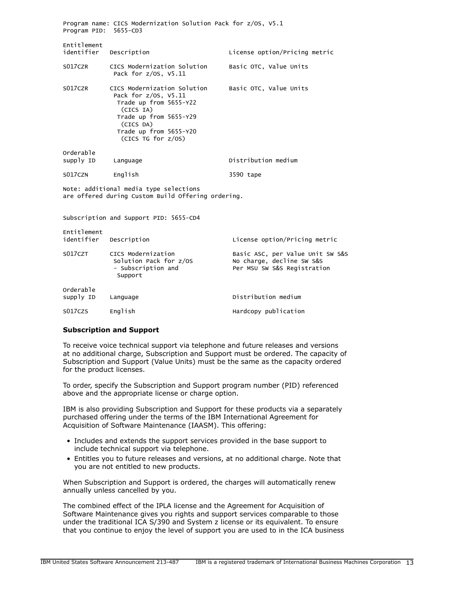| Program PID: 5655-CD3                                                                        | Program name: CICS Modernization Solution Pack for z/OS, V5.1                                                                                                                     |                               |  |  |
|----------------------------------------------------------------------------------------------|-----------------------------------------------------------------------------------------------------------------------------------------------------------------------------------|-------------------------------|--|--|
| Entitlement<br>identifier Description                                                        |                                                                                                                                                                                   | License option/Pricing metric |  |  |
| S017CZR                                                                                      | CICS Modernization Solution<br>Pack for $z/0s$ , $V5.11$                                                                                                                          | Basic OTC, Value Units        |  |  |
| S017CZR                                                                                      | CICS Modernization Solution<br>Pack for z/0S, V5.11<br>Trade up from 5655-Y22<br>(CICS IA)<br>Trade up from 5655-Y29<br>(CICS DA)<br>Trade up from 5655-Y20<br>(CICS TG for z/0S) | Basic OTC, Value Units        |  |  |
| Orderable<br>supply ID                                                                       | Language                                                                                                                                                                          | Distribution medium           |  |  |
| S017CZN                                                                                      | English                                                                                                                                                                           | 3590 tape                     |  |  |
| Note: additional media type selections<br>are offered during Custom Build Offering ordering. |                                                                                                                                                                                   |                               |  |  |
| Subscription and Support PID: 5655-CD4                                                       |                                                                                                                                                                                   |                               |  |  |

| Entitlement<br>identifier | Description                                                                   | License option/Pricing metric                                                                |
|---------------------------|-------------------------------------------------------------------------------|----------------------------------------------------------------------------------------------|
| S017CZT                   | CICS Modernization<br>Solution Pack for z/OS<br>- Subscription and<br>Support | Basic ASC, per Value Unit SW S&S<br>No charge, decline SW S&S<br>Per MSU SW S&S Registration |
| Orderable<br>supply ID    | Language                                                                      | Distribution medium                                                                          |
| S017CZS                   | English                                                                       | Hardcopy publication                                                                         |

#### **Subscription and Support**

To receive voice technical support via telephone and future releases and versions at no additional charge, Subscription and Support must be ordered. The capacity of Subscription and Support (Value Units) must be the same as the capacity ordered for the product licenses.

To order, specify the Subscription and Support program number (PID) referenced above and the appropriate license or charge option.

IBM is also providing Subscription and Support for these products via a separately purchased offering under the terms of the IBM International Agreement for Acquisition of Software Maintenance (IAASM). This offering:

- Includes and extends the support services provided in the base support to include technical support via telephone.
- Entitles you to future releases and versions, at no additional charge. Note that you are not entitled to new products.

When Subscription and Support is ordered, the charges will automatically renew annually unless cancelled by you.

The combined effect of the IPLA license and the Agreement for Acquisition of Software Maintenance gives you rights and support services comparable to those under the traditional ICA S/390 and System z license or its equivalent. To ensure that you continue to enjoy the level of support you are used to in the ICA business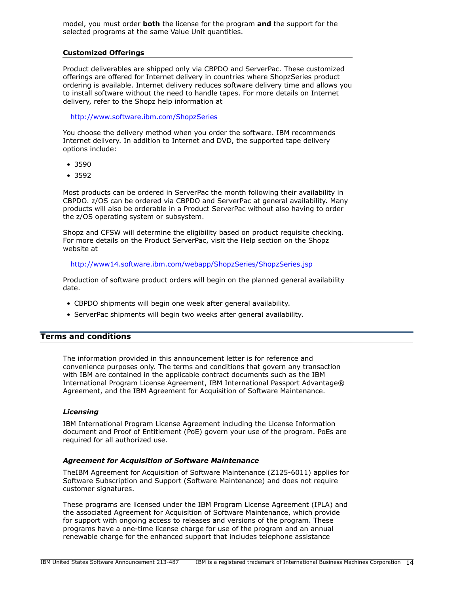model, you must order **both** the license for the program **and** the support for the selected programs at the same Value Unit quantities.

#### **Customized Offerings**

Product deliverables are shipped only via CBPDO and ServerPac. These customized offerings are offered for Internet delivery in countries where ShopzSeries product ordering is available. Internet delivery reduces software delivery time and allows you to install software without the need to handle tapes. For more details on Internet delivery, refer to the Shopz help information at

#### <http://www.software.ibm.com/ShopzSeries>

You choose the delivery method when you order the software. IBM recommends Internet delivery. In addition to Internet and DVD, the supported tape delivery options include:

- 3590
- 3592

Most products can be ordered in ServerPac the month following their availability in CBPDO. z/OS can be ordered via CBPDO and ServerPac at general availability. Many products will also be orderable in a Product ServerPac without also having to order the z/OS operating system or subsystem.

Shopz and CFSW will determine the eligibility based on product requisite checking. For more details on the Product ServerPac, visit the Help section on the Shopz website at

<http://www14.software.ibm.com/webapp/ShopzSeries/ShopzSeries.jsp>

Production of software product orders will begin on the planned general availability date.

- CBPDO shipments will begin one week after general availability.
- ServerPac shipments will begin two weeks after general availability.

# <span id="page-13-0"></span>**Terms and conditions**

The information provided in this announcement letter is for reference and convenience purposes only. The terms and conditions that govern any transaction with IBM are contained in the applicable contract documents such as the IBM International Program License Agreement, IBM International Passport Advantage® Agreement, and the IBM Agreement for Acquisition of Software Maintenance.

## *Licensing*

IBM International Program License Agreement including the License Information document and Proof of Entitlement (PoE) govern your use of the program. PoEs are required for all authorized use.

#### *Agreement for Acquisition of Software Maintenance*

TheIBM Agreement for Acquisition of Software Maintenance (Z125-6011) applies for Software Subscription and Support (Software Maintenance) and does not require customer signatures.

These programs are licensed under the IBM Program License Agreement (IPLA) and the associated Agreement for Acquisition of Software Maintenance, which provide for support with ongoing access to releases and versions of the program. These programs have a one-time license charge for use of the program and an annual renewable charge for the enhanced support that includes telephone assistance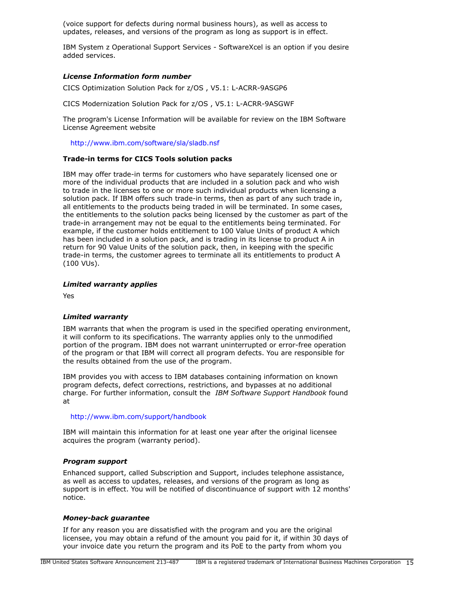(voice support for defects during normal business hours), as well as access to updates, releases, and versions of the program as long as support is in effect.

IBM System z Operational Support Services - SoftwareXcel is an option if you desire added services.

## *License Information form number*

CICS Optimization Solution Pack for z/OS , V5.1: L-ACRR-9ASGP6

CICS Modernization Solution Pack for z/OS , V5.1: L-ACRR-9ASGWF

The program's License Information will be available for review on the IBM Software License Agreement website

<http://www.ibm.com/software/sla/sladb.nsf>

## **Trade-in terms for CICS Tools solution packs**

IBM may offer trade-in terms for customers who have separately licensed one or more of the individual products that are included in a solution pack and who wish to trade in the licenses to one or more such individual products when licensing a solution pack. If IBM offers such trade-in terms, then as part of any such trade in, all entitlements to the products being traded in will be terminated. In some cases, the entitlements to the solution packs being licensed by the customer as part of the trade-in arrangement may not be equal to the entitlements being terminated. For example, if the customer holds entitlement to 100 Value Units of product A which has been included in a solution pack, and is trading in its license to product A in return for 90 Value Units of the solution pack, then, in keeping with the specific trade-in terms, the customer agrees to terminate all its entitlements to product A (100 VUs).

#### *Limited warranty applies*

Yes

## *Limited warranty*

IBM warrants that when the program is used in the specified operating environment, it will conform to its specifications. The warranty applies only to the unmodified portion of the program. IBM does not warrant uninterrupted or error-free operation of the program or that IBM will correct all program defects. You are responsible for the results obtained from the use of the program.

IBM provides you with access to IBM databases containing information on known program defects, defect corrections, restrictions, and bypasses at no additional charge. For further information, consult the *IBM Software Support Handbook* found at

#### <http://www.ibm.com/support/handbook>

IBM will maintain this information for at least one year after the original licensee acquires the program (warranty period).

#### *Program support*

Enhanced support, called Subscription and Support, includes telephone assistance, as well as access to updates, releases, and versions of the program as long as support is in effect. You will be notified of discontinuance of support with 12 months' notice.

#### *Money-back guarantee*

If for any reason you are dissatisfied with the program and you are the original licensee, you may obtain a refund of the amount you paid for it, if within 30 days of your invoice date you return the program and its PoE to the party from whom you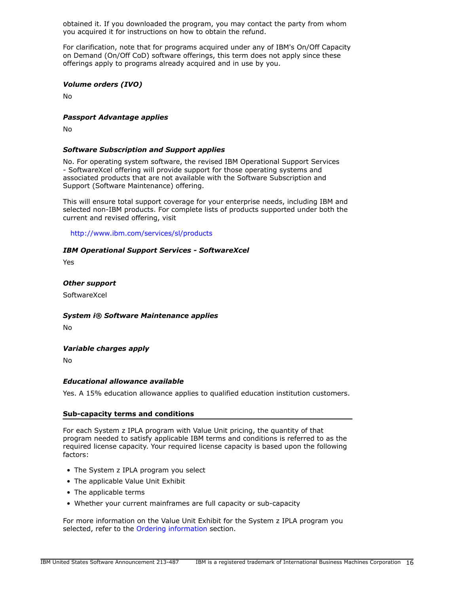obtained it. If you downloaded the program, you may contact the party from whom you acquired it for instructions on how to obtain the refund.

For clarification, note that for programs acquired under any of IBM's On/Off Capacity on Demand (On/Off CoD) software offerings, this term does not apply since these offerings apply to programs already acquired and in use by you.

## *Volume orders (IVO)*

No

## *Passport Advantage applies*

No

## *Software Subscription and Support applies*

No. For operating system software, the revised IBM Operational Support Services - SoftwareXcel offering will provide support for those operating systems and associated products that are not available with the Software Subscription and Support (Software Maintenance) offering.

This will ensure total support coverage for your enterprise needs, including IBM and selected non-IBM products. For complete lists of products supported under both the current and revised offering, visit

<http://www.ibm.com/services/sl/products>

#### *IBM Operational Support Services - SoftwareXcel*

Yes

*Other support*

**SoftwareXcel** 

#### *System i® Software Maintenance applies*

No

## *Variable charges apply*

No

## *Educational allowance available*

Yes. A 15% education allowance applies to qualified education institution customers.

#### **Sub-capacity terms and conditions**

For each System z IPLA program with Value Unit pricing, the quantity of that program needed to satisfy applicable IBM terms and conditions is referred to as the required license capacity. Your required license capacity is based upon the following factors:

- The System z IPLA program you select
- The applicable Value Unit Exhibit
- The applicable terms
- Whether your current mainframes are full capacity or sub-capacity

For more information on the Value Unit Exhibit for the System z IPLA program you selected, refer to the [Ordering information](#page-9-0) section.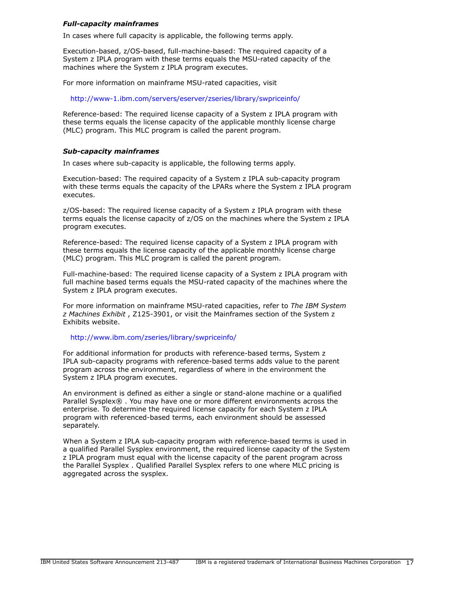## *Full-capacity mainframes*

In cases where full capacity is applicable, the following terms apply.

Execution-based, z/OS-based, full-machine-based: The required capacity of a System z IPLA program with these terms equals the MSU-rated capacity of the machines where the System z IPLA program executes.

For more information on mainframe MSU-rated capacities, visit

<http://www-1.ibm.com/servers/eserver/zseries/library/swpriceinfo/>

Reference-based: The required license capacity of a System z IPLA program with these terms equals the license capacity of the applicable monthly license charge (MLC) program. This MLC program is called the parent program.

#### *Sub-capacity mainframes*

In cases where sub-capacity is applicable, the following terms apply.

Execution-based: The required capacity of a System z IPLA sub-capacity program with these terms equals the capacity of the LPARs where the System z IPLA program executes.

z/OS-based: The required license capacity of a System z IPLA program with these terms equals the license capacity of z/OS on the machines where the System z IPLA program executes.

Reference-based: The required license capacity of a System z IPLA program with these terms equals the license capacity of the applicable monthly license charge (MLC) program. This MLC program is called the parent program.

Full-machine-based: The required license capacity of a System z IPLA program with full machine based terms equals the MSU-rated capacity of the machines where the System z IPLA program executes.

For more information on mainframe MSU-rated capacities, refer to *The IBM System z Machines Exhibit* , Z125-3901, or visit the Mainframes section of the System z Exhibits website.

#### <http://www.ibm.com/zseries/library/swpriceinfo/>

For additional information for products with reference-based terms, System z IPLA sub-capacity programs with reference-based terms adds value to the parent program across the environment, regardless of where in the environment the System z IPLA program executes.

An environment is defined as either a single or stand-alone machine or a qualified Parallel Sysplex® . You may have one or more different environments across the enterprise. To determine the required license capacity for each System z IPLA program with referenced-based terms, each environment should be assessed separately.

When a System z IPLA sub-capacity program with reference-based terms is used in a qualified Parallel Sysplex environment, the required license capacity of the System z IPLA program must equal with the license capacity of the parent program across the Parallel Sysplex . Qualified Parallel Sysplex refers to one where MLC pricing is aggregated across the sysplex.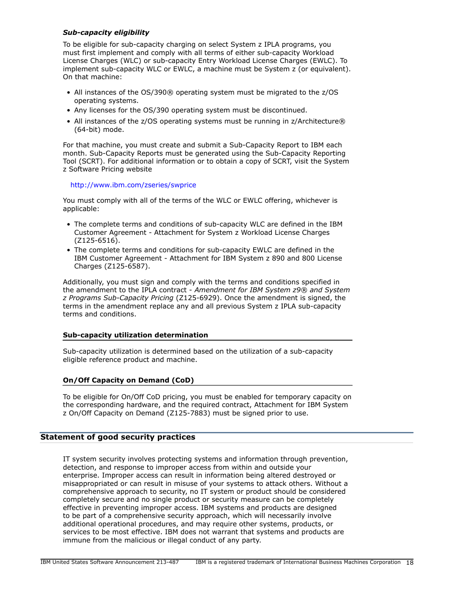# *Sub-capacity eligibility*

To be eligible for sub-capacity charging on select System z IPLA programs, you must first implement and comply with all terms of either sub-capacity Workload License Charges (WLC) or sub-capacity Entry Workload License Charges (EWLC). To implement sub-capacity WLC or EWLC, a machine must be System z (or equivalent). On that machine:

- All instances of the OS/390® operating system must be migrated to the z/OS operating systems.
- Any licenses for the OS/390 operating system must be discontinued.
- All instances of the z/OS operating systems must be running in z/Architecture® (64-bit) mode.

For that machine, you must create and submit a Sub-Capacity Report to IBM each month. Sub-Capacity Reports must be generated using the Sub-Capacity Reporting Tool (SCRT). For additional information or to obtain a copy of SCRT, visit the System z Software Pricing website

## <http://www.ibm.com/zseries/swprice>

You must comply with all of the terms of the WLC or EWLC offering, whichever is applicable:

- The complete terms and conditions of sub-capacity WLC are defined in the IBM Customer Agreement - Attachment for System z Workload License Charges (Z125-6516).
- The complete terms and conditions for sub-capacity EWLC are defined in the IBM Customer Agreement - Attachment for IBM System z 890 and 800 License Charges (Z125-6587).

Additionally, you must sign and comply with the terms and conditions specified in the amendment to the IPLA contract - *Amendment for IBM System z9® and System z Programs Sub-Capacity Pricing* (Z125-6929). Once the amendment is signed, the terms in the amendment replace any and all previous System z IPLA sub-capacity terms and conditions.

# **Sub-capacity utilization determination**

Sub-capacity utilization is determined based on the utilization of a sub-capacity eligible reference product and machine.

## **On/Off Capacity on Demand (CoD)**

To be eligible for On/Off CoD pricing, you must be enabled for temporary capacity on the corresponding hardware, and the required contract, Attachment for IBM System z On/Off Capacity on Demand (Z125-7883) must be signed prior to use.

## **Statement of good security practices**

IT system security involves protecting systems and information through prevention, detection, and response to improper access from within and outside your enterprise. Improper access can result in information being altered destroyed or misappropriated or can result in misuse of your systems to attack others. Without a comprehensive approach to security, no IT system or product should be considered completely secure and no single product or security measure can be completely effective in preventing improper access. IBM systems and products are designed to be part of a comprehensive security approach, which will necessarily involve additional operational procedures, and may require other systems, products, or services to be most effective. IBM does not warrant that systems and products are immune from the malicious or illegal conduct of any party.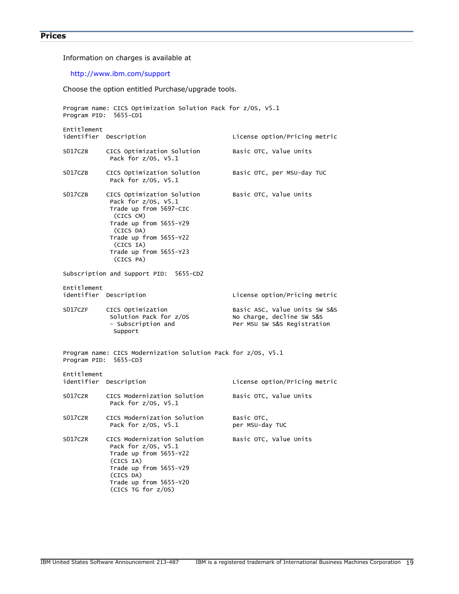```
Prices
```
Information on charges is available at

# <http://www.ibm.com/support>

Choose the option entitled Purchase/upgrade tools.

| Program name: CICS Optimization Solution Pack for z/OS, V5.1<br>Program PID: 5655-CD1 |                                                                                                                                                                                                               |                                                                                           |  |  |
|---------------------------------------------------------------------------------------|---------------------------------------------------------------------------------------------------------------------------------------------------------------------------------------------------------------|-------------------------------------------------------------------------------------------|--|--|
| Entitlement<br>identifier Description                                                 |                                                                                                                                                                                                               | License option/Pricing metric                                                             |  |  |
| S017CZB                                                                               | CICS Optimization Solution<br>Pack for $z/0s$ , $V5.1$                                                                                                                                                        | Basic OTC, Value Units                                                                    |  |  |
| S017CZB                                                                               | CICS Optimization Solution<br>Pack for z/0S, V5.1                                                                                                                                                             | Basic OTC, per MSU-day TUC                                                                |  |  |
| S017CZB                                                                               | CICS Optimization Solution<br>Pack for z/0S, V5.1<br>Trade up from 5697-CIC<br>(CICS CM)<br>Trade up from 5655-Y29<br>(CICS DA)<br>Trade up from 5655-Y22<br>(CICS IA)<br>Trade up from 5655-Y23<br>(CICS PA) | Basic OTC, Value Units                                                                    |  |  |
|                                                                                       | Subscription and Support PID:<br>5655-CD2                                                                                                                                                                     |                                                                                           |  |  |
| Entitlement<br>identifier Description                                                 |                                                                                                                                                                                                               | License option/Pricing metric                                                             |  |  |
| S017CZF                                                                               | CICS Optimization<br>Solution Pack for z/0S<br>- Subscription and<br>Support                                                                                                                                  | Basic ASC, Value Units SW S&S<br>No charge, decline SW S&S<br>Per MSU SW S&S Registration |  |  |
| Program PID: 5655-CD3                                                                 | Program name: CICS Modernization Solution Pack for z/OS, V5.1                                                                                                                                                 |                                                                                           |  |  |
| Entitlement<br>identifier Description                                                 |                                                                                                                                                                                                               | License option/Pricing metric                                                             |  |  |
| S017CZR                                                                               | CICS Modernization Solution<br>Pack for $z/0S$ , $V5.1$                                                                                                                                                       | Basic OTC, Value Units                                                                    |  |  |
| S017CZR                                                                               | CICS Modernization Solution<br>Pack for z/OS, V5.1                                                                                                                                                            | Basic OTC,<br>per MSU-day TUC                                                             |  |  |
| S017CZR                                                                               | CICS Modernization Solution<br>Pack for z/0S, V5.1<br>Trade up from 5655-Y22<br>(CICS IA)<br>Trade up from 5655-Y29<br>(CICS DA)<br>Trade up from 5655-Y20<br>(CICS TG for z/0S)                              | Basic OTC, Value Units                                                                    |  |  |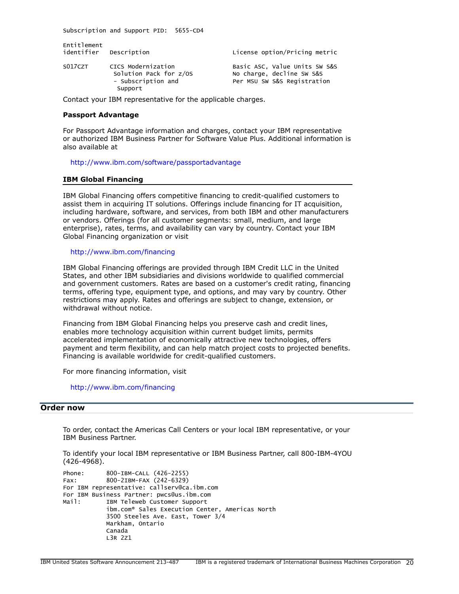Subscription and Support PID: 5655-CD4

| Entitlement<br>identifier | Description                                                                   | License option/Pricing metric                                                             |
|---------------------------|-------------------------------------------------------------------------------|-------------------------------------------------------------------------------------------|
| S017CZT                   | CICS Modernization<br>Solution Pack for z/OS<br>- Subscription and<br>Support | Basic ASC, Value Units SW S&S<br>No charge, decline SW S&S<br>Per MSU SW S&S Registration |

Contact your IBM representative for the applicable charges.

#### **Passport Advantage**

For Passport Advantage information and charges, contact your IBM representative or authorized IBM Business Partner for Software Value Plus. Additional information is also available at

<http://www.ibm.com/software/passportadvantage>

#### **IBM Global Financing**

IBM Global Financing offers competitive financing to credit-qualified customers to assist them in acquiring IT solutions. Offerings include financing for IT acquisition, including hardware, software, and services, from both IBM and other manufacturers or vendors. Offerings (for all customer segments: small, medium, and large enterprise), rates, terms, and availability can vary by country. Contact your IBM Global Financing organization or visit

#### <http://www.ibm.com/financing>

IBM Global Financing offerings are provided through IBM Credit LLC in the United States, and other IBM subsidiaries and divisions worldwide to qualified commercial and government customers. Rates are based on a customer's credit rating, financing terms, offering type, equipment type, and options, and may vary by country. Other restrictions may apply. Rates and offerings are subject to change, extension, or withdrawal without notice.

Financing from IBM Global Financing helps you preserve cash and credit lines, enables more technology acquisition within current budget limits, permits accelerated implementation of economically attractive new technologies, offers payment and term flexibility, and can help match project costs to projected benefits. Financing is available worldwide for credit-qualified customers.

For more financing information, visit

<http://www.ibm.com/financing>

## <span id="page-19-0"></span>**Order now**

To order, contact the Americas Call Centers or your local IBM representative, or your IBM Business Partner.

To identify your local IBM representative or IBM Business Partner, call 800-IBM-4YOU (426-4968).

```
Phone: 800-IBM-CALL (426-2255)
Fax: 800-2IBM-FAX (242-6329)
For IBM representative: callserv@ca.ibm.com
For IBM Business Partner: pwcs@us.ibm.com
Mail: IBM Teleweb Customer Support
            ibm.com® Sales Execution Center, Americas North
            3500 Steeles Ave. East, Tower 3/4
            Markham, Ontario
            Canada
            L3R 2Z1
```